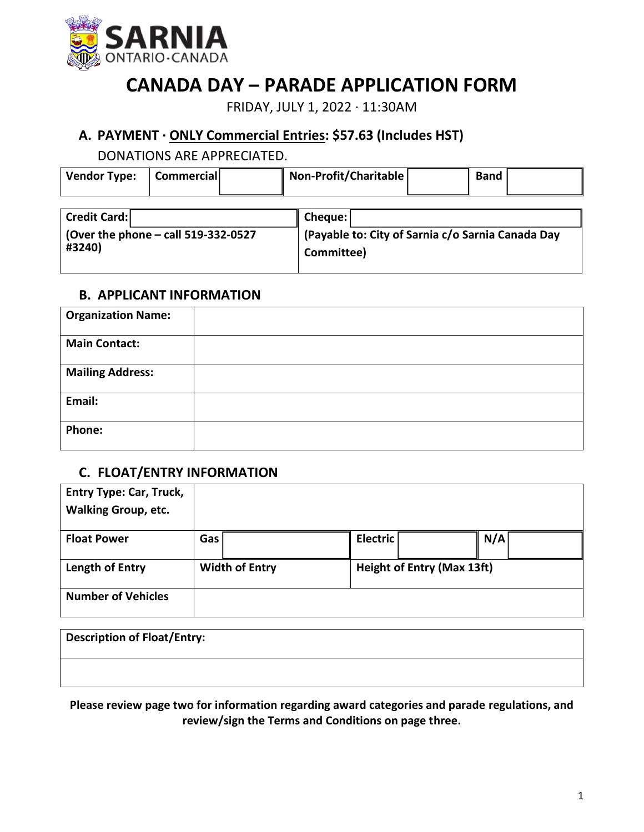

# **CANADA DAY – PARADE APPLICATION FORM**

FRIDAY, JULY 1, 2022 ∙ 11:30AM

# **A. PAYMENT ∙ ONLY Commercial Entries: \$57.63 (Includes HST)**

DONATIONS ARE APPRECIATED.

| Vendor Type: | <b>Commerciall</b> | Non-Profit/Charitable | Band |  |
|--------------|--------------------|-----------------------|------|--|
|              |                    |                       |      |  |

| <b>Credit Card:</b>                         | Cheque:                                           |
|---------------------------------------------|---------------------------------------------------|
| $\vert$ (Over the phone – call 519-332-0527 | (Payable to: City of Sarnia c/o Sarnia Canada Day |
| #3240)                                      | Committee)                                        |

#### **B. APPLICANT INFORMATION**

| <b>Organization Name:</b> |  |
|---------------------------|--|
| <b>Main Contact:</b>      |  |
| <b>Mailing Address:</b>   |  |
| Email:                    |  |
| Phone:                    |  |

# **C. FLOAT/ENTRY INFORMATION**

| <b>Entry Type: Car, Truck,</b><br><b>Walking Group, etc.</b> |                       |                                   |     |
|--------------------------------------------------------------|-----------------------|-----------------------------------|-----|
| <b>Float Power</b>                                           | Gas'                  | <b>Electric</b>                   | N/A |
| Length of Entry                                              | <b>Width of Entry</b> | <b>Height of Entry (Max 13ft)</b> |     |
| <b>Number of Vehicles</b>                                    |                       |                                   |     |

| <b>Description of Float/Entry:</b> |  |
|------------------------------------|--|
|                                    |  |

**Please review page two for information regarding award categories and parade regulations, and review/sign the Terms and Conditions on page three.**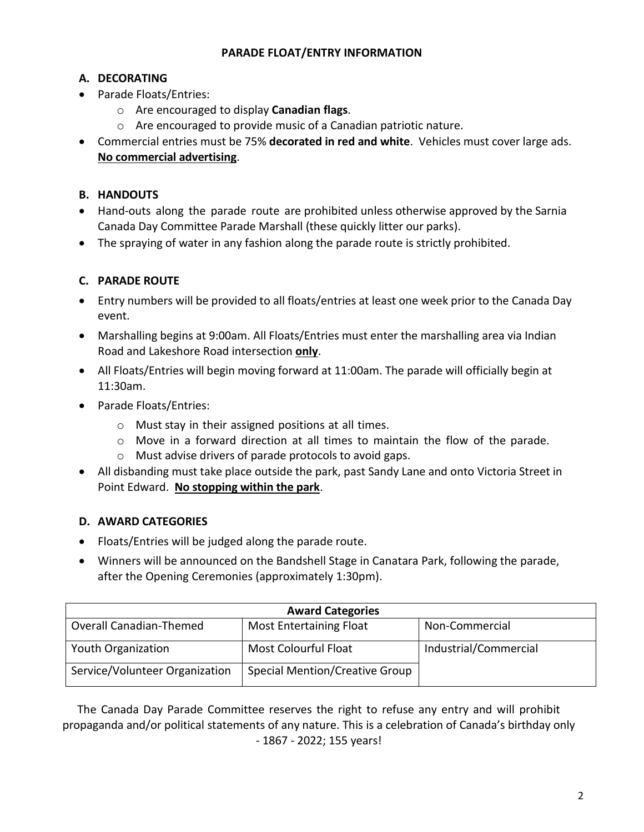#### **PARADE FLOAT/ENTRY INFORMATION**

## **A. DECORATING**

- Parade Floats/Entries:
	- o Are encouraged to display **Canadian flags**.
	- o Are encouraged to provide music of a Canadian patriotic nature.
- Commercial entries must be 75% **decorated in red and white**. Vehicles must cover large ads. **No commercial advertising**.

## **B. HANDOUTS**

- Hand-outs along the parade route are prohibited unless otherwise approved by the Sarnia Canada Day Committee Parade Marshall (these quickly litter our parks).
- The spraying of water in any fashion along the parade route is strictly prohibited.

## **C. PARADE ROUTE**

- Entry numbers will be provided to all floats/entries at least one week prior to the Canada Day event.
- Marshalling begins at 9:00am. All Floats/Entries must enter the marshalling area via Indian Road and Lakeshore Road intersection **only**.
- All Floats/Entries will begin moving forward at 11:00am. The parade will officially begin at 11:30am.
- Parade Floats/Entries:
	- o Must stay in their assigned positions at all times.
	- o Move in a forward direction at all times to maintain the flow of the parade.
	- o Must advise drivers of parade protocols to avoid gaps.
- All disbanding must take place outside the park, past Sandy Lane and onto Victoria Street in Point Edward. **No stopping within the park**.

#### **D. AWARD CATEGORIES**

- Floats/Entries will be judged along the parade route.
- Winners will be announced on the Bandshell Stage in Canatara Park, following the parade, after the Opening Ceremonies (approximately 1:30pm).

| <b>Award Categories</b>        |                                |                       |  |  |
|--------------------------------|--------------------------------|-----------------------|--|--|
| Overall Canadian-Themed        | <b>Most Entertaining Float</b> | Non-Commercial        |  |  |
| Youth Organization             | <b>Most Colourful Float</b>    | Industrial/Commercial |  |  |
| Service/Volunteer Organization | Special Mention/Creative Group |                       |  |  |

The Canada Day Parade Committee reserves the right to refuse any entry and will prohibit propaganda and/or political statements of any nature. This is a celebration of Canada's birthday only - 1867 - 2022; 155 years!